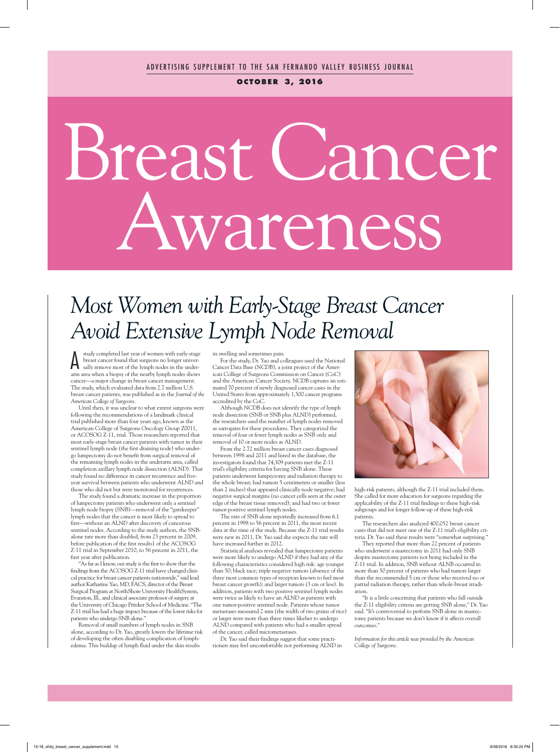**o c to b e r 3, 2016**

# Breast Cancer Awareness

## *Most Women with Early-Stage Breast Cancer Avoid Extensive Lymph Node Removal*

A study completed last year of women with early-stage breast cancer found that surgeons no longer universally remove most of the lymph nodes in the underarm area when a biopsy of the nearby lymph nodes shows cancer—a major change in breast cancer management. The study, which evaluated data from 2.7 million U.S. breast cancer patients, was published as in the *Journal of the American College of Surgeons*.

Until then, it was unclear to what extent surgeons were following the recommendations of a landmark clinical trial published more than four years ago, known as the American College of Surgeons Oncology Group Z0011, or ACOSOG Z-11, trial. Those researchers reported that most early-stage breast cancer patients with tumor in their sentinel lymph node (the first draining node) who undergo lumpectomy do not benefit from surgical removal of the remaining lymph nodes in the underarm area, called completion axillary lymph node dissection (ALND). That study found no difference in cancer recurrence and fiveyear survival between patients who underwent ALND and those who did not but were monitored for recurrences.

The study found a dramatic increase in the proportion of lumpectomy patients who underwent only a sentinel lymph node biopsy (SNB)—removal of the "gatekeeper" lymph nodes that the cancer is most likely to spread to first—without an ALND after discovery of cancerous sentinel nodes. According to the study authors, the SNBalone rate more than doubled, from 23 percent in 2009, before publication of the first results1 of the ACOSOG Z-11 trial in September 2010, to 56 percent in 2011, the first year after publication.

"As far as I know, our study is the first to show that the findings from the ACOSOG Z-11 trial have changed clinical practice for breast cancer patients nationwide," said lead author Katharine Yao, MD, FACS, director of the Breast Surgical Program at NorthShore University HealthSystem, Evanston, Ill., and clinical associate professor of surgery at the University of Chicago Pritzker School of Medicine. "The Z-11 trial has had a huge impact because of the lower risks for patients who undergo SNB alone."

Removal of small numbers of lymph nodes in SNB alone, according to Dr. Yao, greatly lowers the lifetime risk of developing the often disabling complication of lymphedema. This buildup of lymph fluid under the skin results

in swelling and sometimes pain.

For the study, Dr. Yao and colleagues used the National Cancer Data Base (NCDB), a joint project of the American College of Surgeons Commission on Cancer (CoC) and the American Cancer Society. NCDB captures an estimated 70 percent of newly diagnosed cancer cases in the United States from approximately 1,500 cancer programs accredited by the CoC.

Although NCDB does not identify the type of lymph node dissection (SNB or SNB plus ALND) performed, the researchers used the number of lymph nodes removed as surrogates for these procedures. They categorized the removal of four or fewer lymph nodes as SNB only and removal of 10 or more nodes as ALND.

From the 2.72 million breast cancer cases diagnosed between 1998 and 2011 and listed in the database, the investigators found that 74,309 patients met the Z-11 trial's eligibility criteria for having SNB alone. These patients underwent lumpectomy and radiation therapy to the whole breast; had tumors 5 centimeters or smaller (less than 2 inches) that appeared clinically node negative; had negative surgical margins (no cancer cells seen at the outer edge of the breast tissue removed); and had two or fewer tumor-positive sentinel lymph nodes.

The rate of SNB alone reportedly increased from 6.1 percent in 1998 to 56 percent in 2011, the most recent data at the time of the study. Because the Z-11 trial results were new in 2011, Dr. Yao said she expects the rate will have increased further in 2012.

Statistical analyses revealed that lumpectomy patients were more likely to undergo ALND if they had any of the following characteristics considered high risk: age younger than 50; black race; triple negative tumors (absence of the three most common types of receptors known to fuel most breast cancer growth); and larger tumors (3 cm or less). In addition, patients with two positive sentinel lymph nodes were twice as likely to have an ALND as patients with one tumor-positive sentinel node. Patients whose tumor metastases measured 2 mm (the width of two grains of rice) or larger were more than three times likelier to undergo ALND compared with patients who had a smaller spread of the cancer, called micrometastases.

Dr. Yao said their findings suggest that some practitioners may feel uncomfortable not performing ALND in



high-risk patients, although the Z-11 trial included them. She called for more education for surgeons regarding the applicability of the Z-11 trial findings to these high-risk subgroups and for longer follow-up of these high-risk patients.

The researchers also analyzed 400,052 breast cancer cases that did not meet one of the Z-11 trial's eligibility criteria. Dr. Yao said these results were "somewhat surprising."

They reported that more than 22 percent of patients who underwent a mastectomy in 2011 had only SNB despite mastectomy patients not being included in the Z-11 trial. In addition, SNB without ALNB occurred in more than 50 percent of patients who had tumors larger than the recommended 5 cm or those who received no or partial radiation therapy, rather than whole-breast irradiation.

"It is a little concerning that patients who fall outside the Z-11 eligibility criteria are getting SNB alone," Dr. Yao said. "It's controversial to perform SNB alone in mastectomy patients because we don't know if it affects overall outcomes."

*Information for this article was provided by the American College of Surgeons.*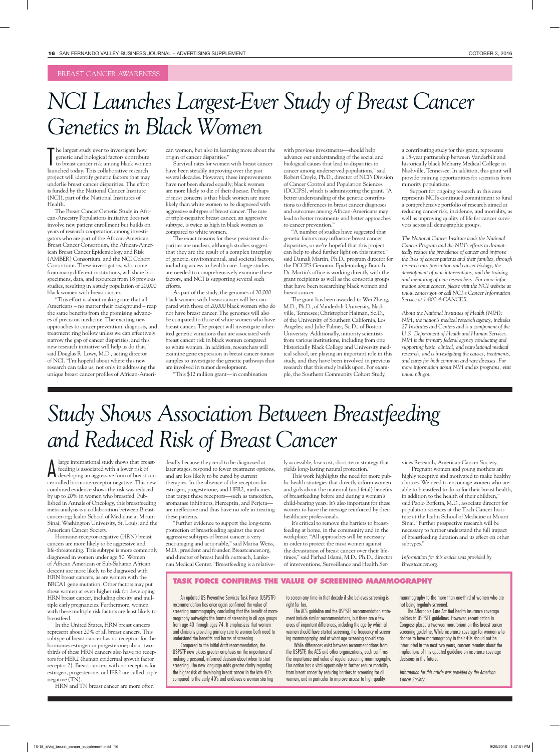#### BREAST CANCER AWARENESS

### *NCI Launches Largest-Ever Study of Breast Cancer Genetics in Black Women*

The largest study ever to investigate how<br>genetic and biological factors contribute<br>to breast cancer risk among black women<br>launched today. This collaborative research he largest study ever to investigate how genetic and biological factors contribute to breast cancer risk among black women project will identify genetic factors that may underlie breast cancer disparities. The effort is funded by the National Cancer Institute (NCI), part of the National Institutes of Health.

The Breast Cancer Genetic Study in African-Ancestry Populations initiative does not involve new patient enrollment but builds on years of research cooperation among investigators who are part of the African-American Breast Cancer Consortium, the African-American Breast Cancer Epidemiology and Risk (AMBER) Consortium, and the NCI Cohort Consortium. These investigators, who come from many different institutions, will share biospecimens, data, and resources from 18 previous studies, resulting in a study population of 20,000 black women with breast cancer.

"This effort is about making sure that all Americans – no matter their background – reap the same benefits from the promising advances of precision medicine. The exciting new approaches to cancer prevention, diagnosis, and treatment ring hollow unless we can effectively narrow the gap of cancer disparities, and this new research initiative will help us do that," said Douglas R. Lowy, M.D., acting director of NCI. "I'm hopeful about where this new research can take us, not only in addressing the unique breast cancer profiles of African-American women, but also in learning more about the origin of cancer disparities."

Survival rates for women with breast cancer have been steadily improving over the past several decades. However, these improvements have not been shared equally; black women are more likely to die of their disease. Perhaps of most concern is that black women are more likely than white women to be diagnosed with aggressive subtypes of breast cancer. The rate of triple-negative breast cancer, an aggressive subtype, is twice as high in black women as compared to white women.

The exact reasons for these persistent disparities are unclear, although studies suggest that they are the result of a complex interplay of genetic, environmental, and societal factors, including access to health care. Large studies are needed to comprehensively examine these factors, and NCI is supporting several such efforts.

As part of the study, the genomes of 20,000 black women with breast cancer will be compared with those of 20,000 black women who do not have breast cancer. The genomes will also be compared to those of white women who have breast cancer. The project will investigate inherited genetic variations that are associated with breast cancer risk in black women compared to white women. In addition, researchers will examine gene expression in breast cancer tumor samples to investigate the genetic pathways that are involved in tumor development.

"This \$12 million grant—in combination

with previous investments—should help advance our understanding of the social and biological causes that lead to disparities in cancer among underserved populations," said Robert Croyle, Ph.D., director of NCI's Division of Cancer Control and Population Sciences (DCCPS), which is administering the grant. "A better understanding of the genetic contributions to differences in breast cancer diagnoses and outcomes among African-Americans may lead to better treatments and better approaches to cancer prevention."

"A number of studies have suggested that genetic factors may influence breast cancer disparities, so we're hopeful that this project can help to shed further light on this matter." said Damali Martin, Ph.D., program director for the DCCPS Genomic Epidemiology Branch. Dr. Martin's office is working directly with the grant recipients as well as the consortia groups that have been researching black women and breast cancer.

The grant has been awarded to Wei Zheng, M.D., Ph.D., of Vanderbilt University, Nashville, Tennesee; Christopher Haiman, Sc.D., of the University of Southern California, Los Angeles; and Julie Palmer, Sc.D., of Boston University. Additionally, minority scientists from various institutions, including from one Historically Black College and University medical school, are playing an important role in this study, and they have been involved in previous research that this study builds upon. For example, the Southern Community Cohort Study,

a contributing study for this grant, represents a 15-year partnership between Vanderbilt and historically black Meharry Medical College in Nashville, Tennessee. In addition, this grant will provide training opportunities for scientists from minority populations.

Support for ongoing research in this area represents NCI's continued commitment to fund a comprehensive portfolio of research aimed at reducing cancer risk, incidence, and mortality, as well as improving quality of life for cancer survivors across all demographic groups.

*The National Cancer Institute leads the National Cancer Program and the NIH's efforts to dramatically reduce the prevalence of cancer and improve the lives of cancer patients and their families, through research into prevention and cancer biology, the development of new interventions, and the training and mentoring of new researchers. For more information about cancer, please visit the NCI website at www.cancer.gov or call NCI›s Cancer Information Service at 1-800-4-CANCER.*

*About the National Institutes of Health (NIH): NIH, the nation's medical research agency, includes 27 Institutes and Centers and is a component of the U.S. Department of Health and Human Services. NIH is the primary federal agency conducting and supporting basic, clinical, and translational medical research, and is investigating the causes, treatments, and cures for both common and rare diseases. For more information about NIH and its programs, visit www.nih.gov.*

## *Study Shows Association Between Breastfeeding and Reduced Risk of Breast Cancer*

A large international study shows that breast-<br>feeding is associated with a lower risk of<br>developing an aggressive form of breast can-<br>can called being an aggressive form in This pow large international study shows that breastfeeding is associated with a lower risk of cer called hormone-receptor negative. This new combined evidence shows the risk was reduced by up to 20% in women who breastfed. Published in Annals of Oncology, this breastfeeding meta-analysis is a collaboration between Breastcancer.org; Icahn School of Medicine at Mount Sinai; Washington University, St. Louis; and the American Cancer Society.

Hormone-receptor-negative (HRN) breast cancers are more likely to be aggressive and life-threatening. This subtype is more commonly diagnosed in women under age 50. Women of African American or Sub-Saharan African descent are more likely to be diagnosed with HRN breast cancers, as are women with the BRCA1 gene mutation. Other factors may put these women at even higher risk for developing HRN breast cancer, including obesity and multiple early pregnancies. Furthermore, women with these multiple risk factors are least likely to breastfeed.

In the United States, HRN breast cancers represent about 20% of all breast cancers. This subtype of breast cancer has no receptors for the hormones estrogen or progesterone; about twothirds of these HRN cancers also have no receptors for HER2 (human epidermal growth factor receptor 2). Breast cancers with no receptors for estrogen, progesterone, or HER2 are called triple negative (TN).

HRN and TN breast cancer are more often

deadly because they tend to be diagnosed at later stages, respond to fewer treatment options, and are less likely to be cured by current therapies. In the absence of the receptors for estrogen, progesterone, and HER2, medicines that target these receptors—such as tamoxifen, aromatase inhibitors, Herceptin, and Perjeta are ineffective and thus have no role in treating these patients.

"Further evidence to support the long-term protection of breastfeeding against the most aggressive subtypes of breast cancer is very encouraging and actionable," said Marisa Weiss, M.D., president and founder, Breastcancer.org, and director of breast health outreach, Lankenau Medical Center. "Breastfeeding is a relative-

An updated US Preventive Services Task Force (USPSTF) recommendation has once again confirmed the value of screening mammography, concluding that the benefit of mammography outweighs the harms of screening in all age groups from age 40 through ages 74. It emphasizes that women and clinicians providing primary care to women both need to understand the benefits and harms of screening. Compared to the initial draft recommendation, the USPSTF now places greater emphasis on the importance of making a personal, informed decision about when to start screening. The new language adds greater clarity regarding the higher risk of developing breast cancer in the late 40's compared to the early 40's and endorses a woman starting

ly accessible, low-cost, short-term strategy that yields long-lasting natural protection."

This work highlights the need for more public health strategies that directly inform women and girls about the maternal (and fetal) benefits of breastfeeding before and during a woman's child-bearing years. It's also important for these women to have the message reinforced by their healthcare professionals.

It's critical to remove the barriers to breastfeeding at home, in the community and in the workplace. "All approaches will be necessary in order to protect the most women against the devastation of breast cancer over their lifetimes," said Farhad Islami, M.D., Ph.D., director of interventions, Surveillance and Health Services Research, American Cancer Society.

"Pregnant women and young mothers are highly receptive and motivated to make healthy choices. We need to encourage women who are able to breastfeed to do so for their breast health, in addition to the health of their children," said Paolo Boffetta, M.D., associate director for population sciences at the Tisch Cancer Institute at the Icahn School of Medicine at Mount Sinai. "Further prospective research will be necessary to further understand the full impact of breastfeeding duration and its effect on other subtypes."

*Information for this article was provided by Breastcancer.org.*

to screen any time in that decade if she believes screening is right for her.

**TASK FORCE CONFIRMS THE VALUE OF SCREENING MAMMOGRAPHY**

The ACS guideline and the USPSTF recommendation statement include similar recommendations, but there are a few areas of important differences, including the age by which all women should have started screening, the frequency of screening mammography, and at what age screening should stop.

While differences exist between recommendations from the USPSTF, the ACS and other organizations, each confirms the importance and value of regular screening mammography. Our nation has a vital opportunity to further reduce mortality from breast cancer by reducing barriers to screening for all women, and in particular to improve access to high quality

mammography to the more than one-third of women who are not being regularly screened.

The Affordable Care Act tied health insurance coverage policies to USPSTF guidelines. However, recent action in Congress placed a two-year moratorium on this breast cancer screening guideline. While insurance coverage for women who choose to have mammography in their 40s should not be interrupted in the next two years, concern remains about the implications of this updated guideline on insurance coverage decisions in the future.

*Information for this article was provided by the American Cancer Society.*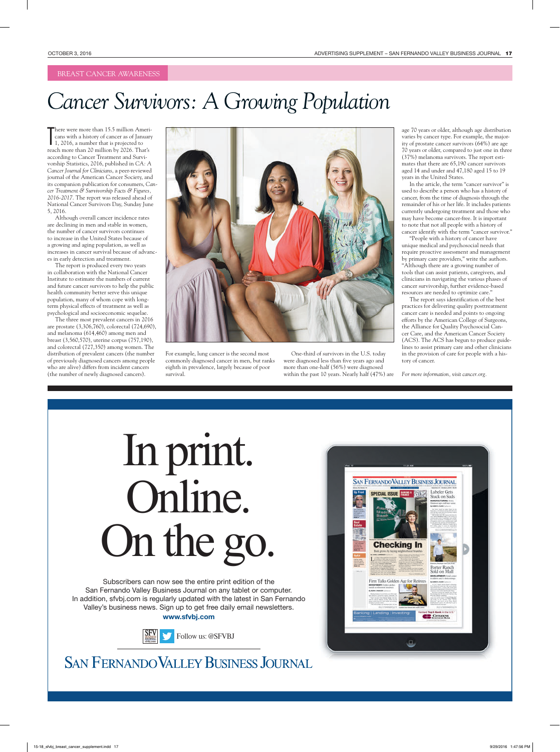The  $C$  -community of  $B$ usiness. The  $C$  -community of  $B$ usiness.  $\mathbb{R}^n$ 

# *Cancer Survivors: A Growing Population*

There were more than 15.5 million Americans with a history of cancer as of Januar 1, 2016, a number that is projected to reach more than 20 million by 2026. That's here were more than 15.5 million Americans with a history of cancer as of January 1, 2016, a number that is projected to according to Cancer Treatment and Survivorship Statistics, 2016, published in *CA: A Cancer Journal for Clinicians*, a peer-reviewed journal of the American Cancer Society, and its companion publication for consumers, *Cancer Treatment & Survivorship Facts & Figures, 2016-2017*. The report was released ahead of National Cancer Survivors Day, Sunday June 5, 2016.

Although overall cancer incidence rates are declining in men and stable in women, the number of cancer survivors continues to increase in the United States because of a growing and aging population, as well as increases in cancer survival because of advances in early detection and treatment.

The report is produced every two years in collaboration with the National Cancer Institute to estimate the numbers of current and future cancer survivors to help the public health community better serve this unique population, many of whom cope with longterm physical effects of treatment as well as psychological and socioeconomic sequelae.

The three most prevalent cancers in 2016 are prostate (3,306,760), colorectal (724,690), and melanoma (614,460) among men and breast (3,560,570), uterine corpus (757,190), and colorectal (727,350) among women. The distribution of prevalent cancers (the number of previously diagnosed cancers among people who are alive) differs from incident cancers (the number of newly diagnosed cancers).



For example, lung cancer is the second most commonly diagnosed cancer in men, but ranks eighth in prevalence, largely because of poor survival.

One-third of survivors in the U.S. today were diagnosed less than five years ago and more than one-half (56%) were diagnosed within the past 10 years. Nearly half (47%) are

age 70 years or older, although age distribution varies by cancer type. For example, the majority of prostate cancer survivors (64%) are age 70 years or older, compared to just one in three (37%) melanoma survivors. The report estimates that there are 65,190 cancer survivors aged 14 and under and 47,180 aged 15 to 19 years in the United States.

In the article, the term "cancer survivor" is used to describe a person who has a history of cancer, from the time of diagnosis through the remainder of his or her life. It includes patients currently undergoing treatment and those who may have become cancer-free. It is important to note that not all people with a history of cancer identify with the term "cancer survivor."

"People with a history of cancer have unique medical and psychosocial needs that require proactive assessment and management by primary care providers," write the authors. "Although there are a growing number of tools that can assist patients, caregivers, and clinicians in navigating the various phases of cancer survivorship, further evidence-based resources are needed to optimize care."

cancer care is needed and points to ongoing<br>efforts by the American College of Surgeons, The report says identification of the best<br>practices for delivering quality posttreatment The report says identification of the best cancer care is needed and points to ongoing the Alliance for Quality Psychosocial Cancer Care, and the American Cancer Society (ACS). The ACS has begun to produce guidelines to assist primary care and other clinicians in the provision of care for people with a history of cancer.

*For more information, visit cancer.org.* 

# $\sum_{i=1}^{\text{min}}$ **durine.**<br>On the go. ubscribers can now see the entire print edition of In print. Online. On the go.

Subscribers can now see the entire print edition of the San Fernando Valley Business Journal on any tablet or computer. In addition, sfvbj.com is regularly updated with the latest in San Fernando Valley's business news. Sign up to get free daily email newsletters. **www.sfvbj.com**



**SAN FERNANDO VALLEY BUSINESS JOURNAL**